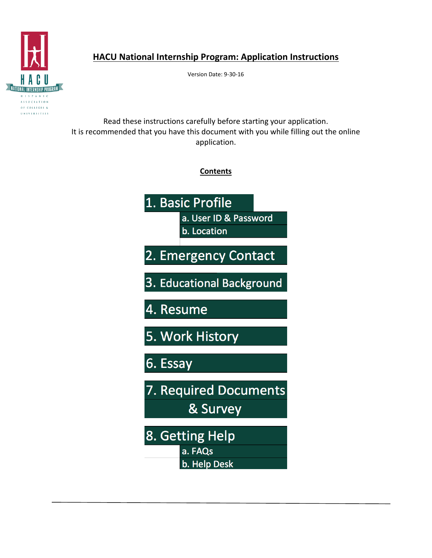

# **HACU National Internship Program: Application Instructions**

Version Date: 9-30-16

Read these instructions carefully before starting your application. It is recommended that you have this document with you while filling out the online application.

**Contents**

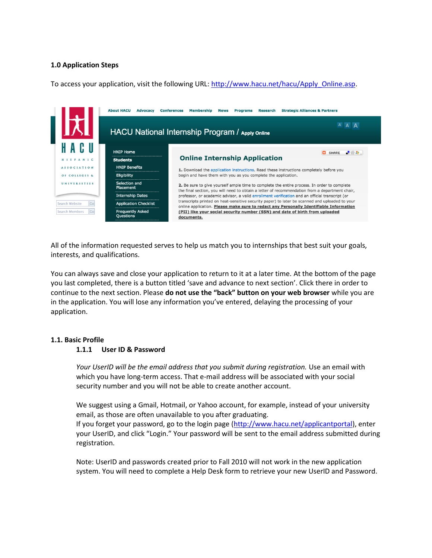# **1.0 Application Steps**

To access your application, visit the following URL: [http://www.hacu.net/hacu/Apply\\_Online.asp.](http://www.hacu.net/hacu/Apply_Online.asp)

|                              | <b>About HACU</b><br><b>Advocacy</b> | <b>Strategic Alliances &amp; Partners</b><br><b>Conferences</b><br><b>Membership</b><br>Research<br><b>News</b><br><b>Programs</b>                                                                                                                                                                                                                                                                |  |  |  |
|------------------------------|--------------------------------------|---------------------------------------------------------------------------------------------------------------------------------------------------------------------------------------------------------------------------------------------------------------------------------------------------------------------------------------------------------------------------------------------------|--|--|--|
|                              |                                      | A<br><b>HACU National Internship Program / Apply Online</b>                                                                                                                                                                                                                                                                                                                                       |  |  |  |
|                              | <b>HNIP Home</b>                     | $-22.4$<br><b>CO</b> SHARE                                                                                                                                                                                                                                                                                                                                                                        |  |  |  |
| HISPANIC                     | <b>Students</b>                      | <b>Online Internship Application</b><br>1. Download the application instructions. Read these instructions completely before you<br>begin and have them with you as you complete the application.<br>2. Be sure to give yourself ample time to complete the entire process. In order to complete<br>the final section, you will need to obtain a letter of recommendation from a department chair, |  |  |  |
| <b>ASSOCIATION</b>           | <b>HNIP Benefits</b>                 |                                                                                                                                                                                                                                                                                                                                                                                                   |  |  |  |
| OF COLLEGES &                | Eligibility                          |                                                                                                                                                                                                                                                                                                                                                                                                   |  |  |  |
| <b>UNIVERSITIES</b>          | Selection and<br>Placement           |                                                                                                                                                                                                                                                                                                                                                                                                   |  |  |  |
|                              | <b>Internship Dates</b>              | professor, or academic advisor, a valid enrollment verification and an official transcript (or                                                                                                                                                                                                                                                                                                    |  |  |  |
| <b>Search Website</b><br>Gol | <b>Application Checklist</b>         | transcripts printed on heat-sensitive security paper) to later be scanned and uploaded to your<br>online application. Please make sure to redact any Personally Identifiable Information<br>(PII) like your social security number (SSN) and date of birth from uploaded<br>documents.                                                                                                            |  |  |  |
| <b>Search Members</b><br>Gol | <b>Frequently Asked</b><br>Questions |                                                                                                                                                                                                                                                                                                                                                                                                   |  |  |  |

All of the information requested serves to help us match you to internships that best suit your goals, interests, and qualifications.

You can always save and close your application to return to it at a later time. At the bottom of the page you last completed, there is a button titled 'save and advance to next section'. Click there in order to continue to the next section. Please **do not use the "back" button on your web browser** while you are in the application. You will lose any information you've entered, delaying the processing of your application.

#### **1.1. Basic Profile**

#### **1.1.1 User ID & Password**

*Your UserID will be the email address that you submit during registration.* Use an email with which you have long-term access. That e-mail address will be associated with your social security number and you will not be able to create another account.

We suggest using a Gmail, Hotmail, or Yahoo account, for example, instead of your university email, as those are often unavailable to you after graduating. If you forget your password, go to the login page [\(http://www.hacu.net/applicantportal\)](http://www.hacu.net/applicantportal), enter your UserID, and click "Login." Your password will be sent to the email address submitted during registration.

Note: UserID and passwords created prior to Fall 2010 will not work in the new application system. You will need to complete a Help Desk form to retrieve your new UserID and Password.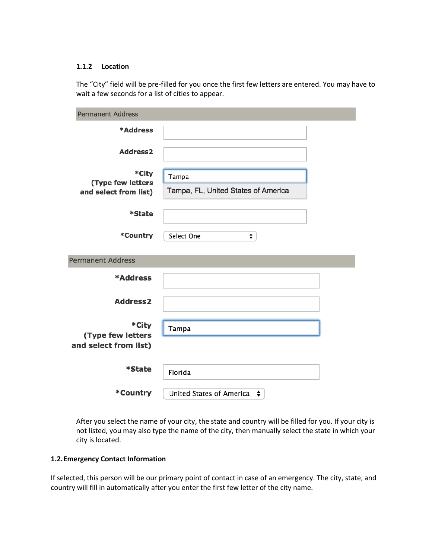#### **1.1.2 Location**

The "City" field will be pre-filled for you once the first few letters are entered. You may have to wait a few seconds for a list of cities to appear.

| <b>Permanent Address</b>                            |                                              |  |  |  |
|-----------------------------------------------------|----------------------------------------------|--|--|--|
| *Address                                            |                                              |  |  |  |
| <b>Address2</b>                                     |                                              |  |  |  |
| *City<br>(Type few letters<br>and select from list) | Tampa<br>Tampa, FL, United States of America |  |  |  |
| *State                                              |                                              |  |  |  |
| *Country                                            | Select One<br>÷                              |  |  |  |
| <b>Permanent Address</b>                            |                                              |  |  |  |
| *Address                                            |                                              |  |  |  |
| <b>Address2</b>                                     |                                              |  |  |  |
| *City<br>(Type few letters<br>and select from list) | Tampa                                        |  |  |  |
| *State                                              | Florida                                      |  |  |  |
| *Country                                            | United States of America ↓                   |  |  |  |

After you select the name of your city, the state and country will be filled for you. If your city is not listed, you may also type the name of the city, then manually select the state in which your city is located.

# **1.2.Emergency Contact Information**

If selected, this person will be our primary point of contact in case of an emergency. The city, state, and country will fill in automatically after you enter the first few letter of the city name.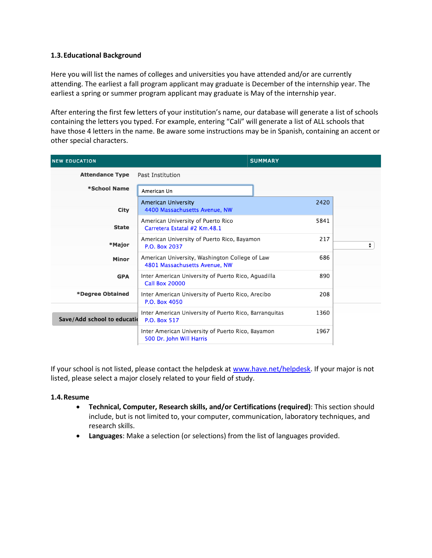# **1.3.Educational Background**

Here you will list the names of colleges and universities you have attended and/or are currently attending. The earliest a fall program applicant may graduate is December of the internship year. The earliest a spring or summer program applicant may graduate is May of the internship year.

After entering the first few letters of your institution's name, our database will generate a list of schools containing the letters you typed. For example, entering "Cali" will generate a list of ALL schools that have those 4 letters in the name. Be aware some instructions may be in Spanish, containing an accent or other special characters.

| <b>NEW EDUCATION</b>         |                                                                                 | <b>SUMMARY</b> |   |
|------------------------------|---------------------------------------------------------------------------------|----------------|---|
| <b>Attendance Type</b>       | Past Institution                                                                |                |   |
| *School Name                 | American Un                                                                     |                |   |
| City                         | <b>American University</b><br>4400 Massachusetts Avenue, NW                     | 2420           |   |
| <b>State</b>                 | American University of Puerto Rico<br>Carretera Estatal #2 Km.48.1              | 5841           |   |
| *Major                       | American University of Puerto Rico, Bayamon<br>P.O. Box 2037                    | 217            | ÷ |
| Minor                        | American University, Washington College of Law<br>4801 Massachusetts Avenue, NW | 686            |   |
| <b>GPA</b>                   | Inter American University of Puerto Rico, Aguadilla<br><b>Call Box 20000</b>    | 890            |   |
| *Degree Obtained             | Inter American University of Puerto Rico, Arecibo<br>P.O. Box 4050              | 208            |   |
| Save/Add school to education | Inter American University of Puerto Rico, Barranguitas<br>P.O. Box 517          | 1360           |   |
|                              | Inter American University of Puerto Rico, Bayamon<br>500 Dr. John Will Harris   | 1967           |   |

If your school is not listed, please contact the helpdesk at [www.have.net/helpdesk.](http://www.have.net/helpdesk) If your major is not listed, please select a major closely related to your field of study.

# **1.4.Resume**

- **Technical, Computer, Research skills, and/or Certifications (required)**: This section should include, but is not limited to, your computer, communication, laboratory techniques, and research skills.
- **Languages**: Make a selection (or selections) from the list of languages provided.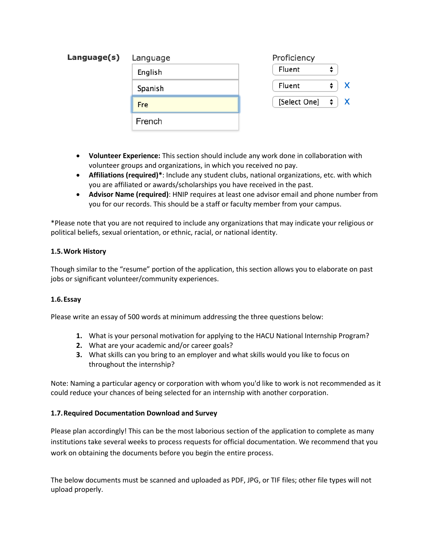| Language(s) | Language | Proficiency                  |  |
|-------------|----------|------------------------------|--|
|             | English  | $\div$<br>Fluent             |  |
|             | Spanish  | ÷<br>Fluent                  |  |
|             | Fre      | [Select One] $\div$ $\div$ X |  |
|             | French   |                              |  |

- **Volunteer Experience:** This section should include any work done in collaboration with volunteer groups and organizations, in which you received no pay.
- **Affiliations (required)\***: Include any student clubs, national organizations, etc. with which you are affiliated or awards/scholarships you have received in the past.
- **Advisor Name (required)**: HNIP requires at least one advisor email and phone number from you for our records. This should be a staff or faculty member from your campus.

\*Please note that you are not required to include any organizations that may indicate your religious or political beliefs, sexual orientation, or ethnic, racial, or national identity.

# **1.5.Work History**

Though similar to the "resume" portion of the application, this section allows you to elaborate on past jobs or significant volunteer/community experiences.

# **1.6.Essay**

Please write an essay of 500 words at minimum addressing the three questions below:

- **1.** What is your personal motivation for applying to the HACU National Internship Program?
- **2.** What are your academic and/or career goals?
- **3.** What skills can you bring to an employer and what skills would you like to focus on throughout the internship?

Note: Naming a particular agency or corporation with whom you'd like to work is not recommended as it could reduce your chances of being selected for an internship with another corporation.

# **1.7.Required Documentation Download and Survey**

Please plan accordingly! This can be the most laborious section of the application to complete as many institutions take several weeks to process requests for official documentation. We recommend that you work on obtaining the documents before you begin the entire process.

The below documents must be scanned and uploaded as PDF, JPG, or TIF files; other file types will not upload properly.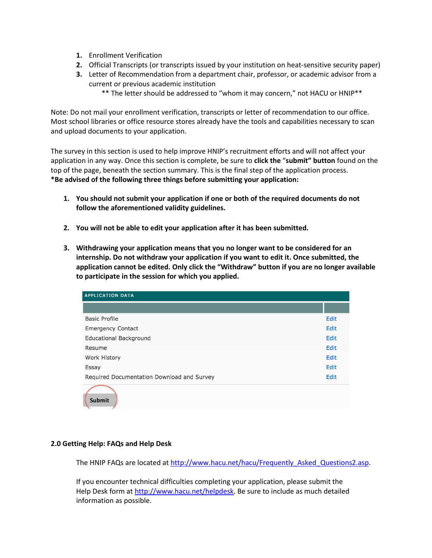- **1.** Enrollment Verification
- **2.** Official Transcripts (or transcripts issued by your institution on heat-sensitive security paper)
- **3.** Letter of Recommendation from a department chair, professor, or academic advisor from a current or previous academic institution
	- \*\* The letter should be addressed to "whom it may concern," not HACU or HNIP\*\*

Note: Do not mail your enrollment verification, transcripts or letter of recommendation to our office. Most school libraries or office resource stores already have the tools and capabilities necessary to scan and upload documents to your application.

The survey in this section is used to help improve HNIP's recruitment efforts and will not affect your application in any way. Once this section is complete, be sure to **click the** "**submit" button** found on the top of the page, beneath the section summary. This is the final step of the application process. **\*Be advised of the following three things before submitting your application:**

- **1. You should not submit your application if one or both of the required documents do not follow the aforementioned validity guidelines.**
- **2. You will not be able to edit your application after it has been submitted.**
- **3. Withdrawing your application means that you no longer want to be considered for an internship. Do not withdraw your application if you want to edit it. Once submitted, the application cannot be edited. Only click the "Withdraw" button if you are no longer available to participate in the session for which you applied.**

| <b>APPLICATION DATA</b>                    |      |
|--------------------------------------------|------|
|                                            |      |
| <b>Basic Profile</b>                       | Edit |
| <b>Emergency Contact</b>                   | Edit |
| <b>Educational Background</b>              | Edit |
| Resume                                     | Edit |
| <b>Work History</b>                        | Edit |
| Essay                                      | Edit |
| Required Documentation Download and Survey |      |
| Submit                                     |      |

# **2.0 Getting Help: FAQs and Help Desk**

The HNIP FAQs are located at [http://www.hacu.net/hacu/Frequently\\_Asked\\_Questions2.asp.](http://www.hacu.net/hacu/Frequently_Asked_Questions2.asp)

If you encounter technical difficulties completing your application, please submit the Help Desk form at [http://www.hacu.net/helpdesk.](http://www.hacu.net/helpdesk) Be sure to include as much detailed information as possible.